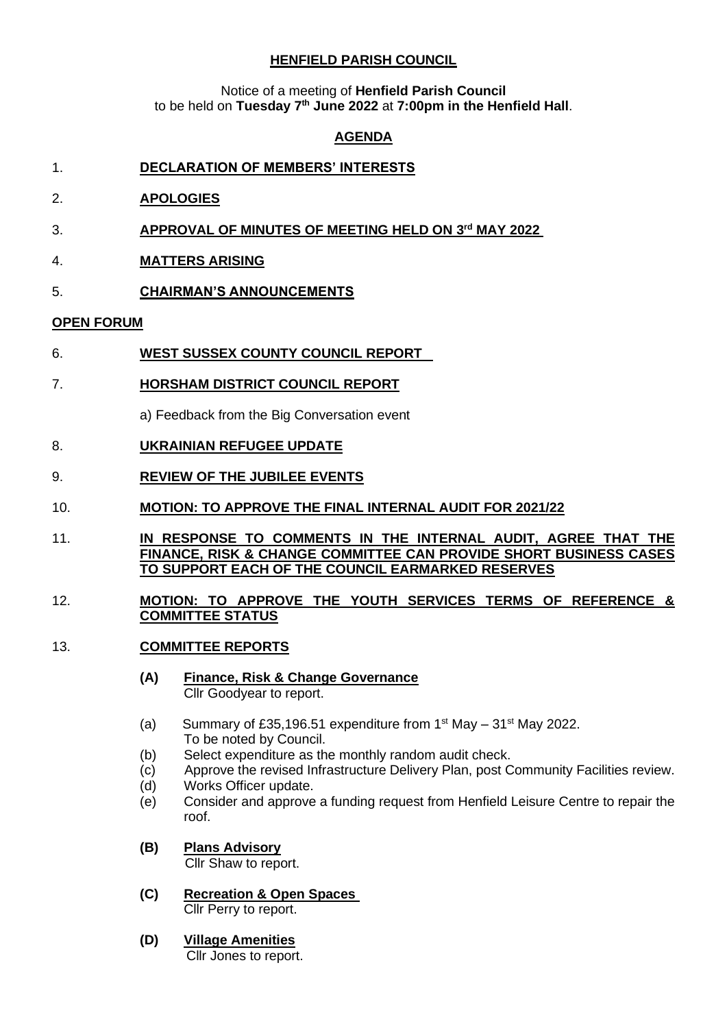## **HENFIELD PARISH COUNCIL**

Notice of a meeting of **Henfield Parish Council** to be held on **Tuesday 7 th June 2022** at **7:00pm in the Henfield Hall**.

## **AGENDA**

- 1. **DECLARATION OF MEMBERS' INTERESTS**
- 2. **APOLOGIES**
- 3. **APPROVAL OF MINUTES OF MEETING HELD ON 3 rd MAY 2022**
- 4. **MATTERS ARISING**
- 5. **CHAIRMAN'S ANNOUNCEMENTS**

### **OPEN FORUM**

- 6. **WEST SUSSEX COUNTY COUNCIL REPORT**
- 7. **HORSHAM DISTRICT COUNCIL REPORT**

a) Feedback from the Big Conversation event

### 8. **UKRAINIAN REFUGEE UPDATE**

- 9. **REVIEW OF THE JUBILEE EVENTS**
- 10. **MOTION: TO APPROVE THE FINAL INTERNAL AUDIT FOR 2021/22**
- 11. **IN RESPONSE TO COMMENTS IN THE INTERNAL AUDIT, AGREE THAT THE FINANCE, RISK & CHANGE COMMITTEE CAN PROVIDE SHORT BUSINESS CASES TO SUPPORT EACH OF THE COUNCIL EARMARKED RESERVES**

#### 12. **MOTION: TO APPROVE THE YOUTH SERVICES TERMS OF REFERENCE & COMMITTEE STATUS**

- 13. **COMMITTEE REPORTS**
	- **(A) Finance, Risk & Change Governance** Cllr Goodyear to report.
	- (a) Summary of £35,196.51 expenditure from  $1<sup>st</sup>$  May  $-31<sup>st</sup>$  May 2022. To be noted by Council.
	- (b) Select expenditure as the monthly random audit check.
	- (c) Approve the revised Infrastructure Delivery Plan, post Community Facilities review.
	- (d) Works Officer update.
	- (e) Consider and approve a funding request from Henfield Leisure Centre to repair the roof.
	- **(B) Plans Advisory**

Cllr Shaw to report.

- **(C) Recreation & Open Spaces** Cllr Perry to report.
- **(D) Village Amenities** Cllr Jones to report.